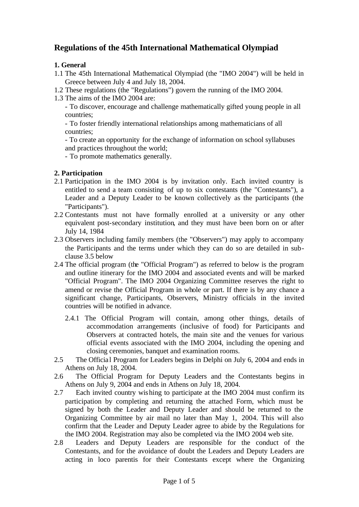# **Regulations of the 45th International Mathematical Olympiad**

## **1. General**

- 1.1 The 45th International Mathematical Olympiad (the "IMO 2004") will be held in Greece between July 4 and July 18, 2004.
- 1.2 These regulations (the "Regulations") govern the running of the IMO 2004.
- 1.3 The aims of the IMO 2004 are:

- To discover, encourage and challenge mathematically gifted young people in all countries;

- To foster friendly international relationships among mathematicians of all countries;

- To create an opportunity for the exchange of information on school syllabuses and practices throughout the world;

- To promote mathematics generally.

# **2. Participation**

- 2.1 Participation in the IMO 2004 is by invitation only. Each invited country is entitled to send a team consisting of up to six contestants (the "Contestants"), a Leader and a Deputy Leader to be known collectively as the participants (the "Participants").
- 2.2 Contestants must not have formally enrolled at a university or any other equivalent post-secondary institution, and they must have been born on or after July 14, 1984
- 2.3 Observers including family members (the "Observers") may apply to accompany the Participants and the terms under which they can do so are detailed in subclause 3.5 below
- 2.4 The official program (the "Official Program") as referred to below is the program and outline itinerary for the IMO 2004 and associated events and will be marked "Official Program". The IMO 2004 Organizing Committee reserves the right to amend or revise the Official Program in whole or part. If there is by any chance a significant change, Participants, Observers, Ministry officials in the invited countries will be notified in advance.
	- 2.4.1 The Official Program will contain, among other things, details of accommodation arrangements (inclusive of food) for Participants and Observers at contracted hotels, the main site and the venues for various official events associated with the IMO 2004, including the opening and closing ceremonies, banquet and examination rooms.
- 2.5 The Official Program for Leaders begins in Delphi on July 6, 2004 and ends in Athens on July 18, 2004.
- 2.6 The Official Program for Deputy Leaders and the Contestants begins in Athens on July 9, 2004 and ends in Athens on July 18, 2004.
- 2.7 Each invited country wishing to participate at the IMO 2004 must confirm its participation by completing and returning the attached Form, which must be signed by both the Leader and Deputy Leader and should be returned to the Organizing Committee by air mail no later than May 1, 2004. This will also confirm that the Leader and Deputy Leader agree to abide by the Regulations for the IMO 2004. Registration may also be completed via the IMO 2004 web site.
- 2.8 Leaders and Deputy Leaders are responsible for the conduct of the Contestants, and for the avoidance of doubt the Leaders and Deputy Leaders are acting in loco parentis for their Contestants except where the Organizing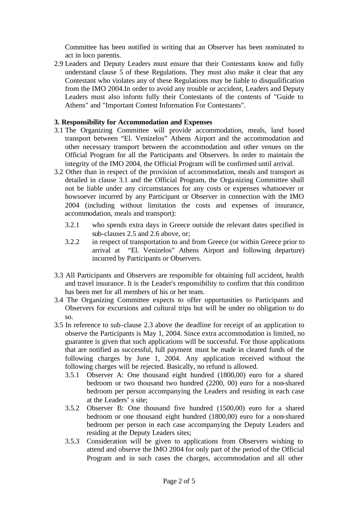Committee has been notified in writing that an Observer has been nominated to act in loco parentis.

2.9 Leaders and Deputy Leaders must ensure that their Contestants know and fully understand clause 5 of these Regulations. They must also make it clear that any Contestant who violates any of these Regulations may be liable to disqualification from the IMO 2004.In order to avoid any trouble or accident, Leaders and Deputy Leaders must also inform fully their Contestants of the contents of "Guide to Athens" and "Important Contest Information For Contestants".

#### **3. Responsibility for Accommodation and Expenses**

- 3.1 The Organizing Committee will provide accommodation, meals, land based transport between "El. Venizelos" Athens Airport and the accommodation and other necessary transport between the accommodation and other venues on the Official Program for all the Participants and Observers. In order to maintain the integrity of the IMO 2004, the Official Program will be confirmed until arrival.
- 3.2 Other than in respect of the provision of accommodation, meals and transport as detailed in clause 3.1 and the Official Program, the Organizing Committee shall not be liable under any circumstances for any costs or expenses whatsoever or howsoever incurred by any Participant or Observer in connection with the IMO 2004 (including without limitation the costs and expenses of insurance, accommodation, meals and transport):
	- 3.2.1 who spends extra days in Greece outside the relevant dates specified in sub-clauses 2.5 and 2.6 above, or;
	- 3.2.2 in respect of transportation to and from Greece (or within Greece prior to arrival at "El. Venizelos" Athens Airport and following departure) incurred by Participants or Observers.
- 3.3 All Participants and Observers are responsible for obtaining full accident, health and travel insurance. It is the Leader's responsibility to confirm that this condition has been met for all members of his or her team.
- 3.4 The Organizing Committee expects to offer opportunities to Participants and Observers for excursions and cultural trips but will be under no obligation to do so.
- 3.5 In reference to sub-clause 2.3 above the deadline for receipt of an application to observe the Participants is May 1, 2004. Since extra accommodation is limited, no guarantee is given that such applications will be successful. For those applications that are notified as successful, full payment must be made in cleared funds of the following charges by June 1, 2004. Any application received without the following charges will be rejected. Basically, no refund is allowed.
	- 3.5.1 Observer A: One thousand eight hundred (1800,00) euro for a shared bedroom or two thousand two hundred (2200, 00) euro for a non-shared bedroom per person accompanying the Leaders and residing in each case at the Leaders' s site;
	- 3.5.2 Observer B: One thousand five hundred (1500,00) euro for a shared bedroom or one thousand eight hundred (1800,00) euro for a non-shared bedroom per person in each case accompanying the Deputy Leaders and residing at the Deputy Leaders sites;
	- 3.5.3 Consideration will be given to applications from Observers wishing to attend and observe the IMO 2004 for only part of the period of the Official Program and in such cases the charges, accommodation and all other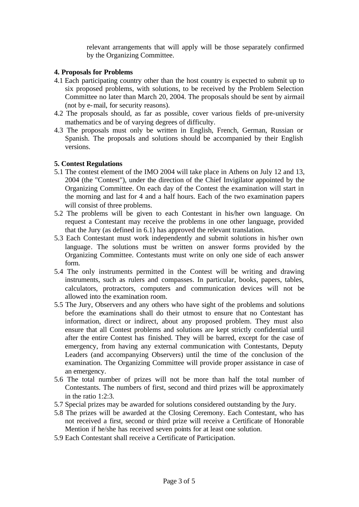relevant arrangements that will apply will be those separately confirmed by the Organizing Committee.

#### **4. Proposals for Problems**

- 4.1 Each participating country other than the host country is expected to submit up to six proposed problems, with solutions, to be received by the Problem Selection Committee no later than March 20, 2004. The proposals should be sent by airmail (not by e-mail, for security reasons).
- 4.2 The proposals should, as far as possible, cover various fields of pre-university mathematics and be of varying degrees of difficulty.
- 4.3 The proposals must only be written in English, French, German, Russian or Spanish. The proposals and solutions should be accompanied by their English versions.

#### **5. Contest Regulations**

- 5.1 The contest element of the IMO 2004 will take place in Athens on July 12 and 13, 2004 (the "Contest"), under the direction of the Chief Invigilator appointed by the Organizing Committee. On each day of the Contest the examination will start in the morning and last for 4 and a half hours. Each of the two examination papers will consist of three problems.
- 5.2 The problems will be given to each Contestant in his/her own language. On request a Contestant may receive the problems in one other language, provided that the Jury (as defined in 6.1) has approved the relevant translation.
- 5.3 Each Contestant must work independently and submit solutions in his/her own language. The solutions must be written on answer forms provided by the Organizing Committee. Contestants must write on only one side of each answer form.
- 5.4 The only instruments permitted in the Contest will be writing and drawing instruments, such as rulers and compasses. In particular, books, papers, tables, calculators, protractors, computers and communication devices will not be allowed into the examination room.
- 5.5 The Jury, Observers and any others who have sight of the problems and solutions before the examinations shall do their utmost to ensure that no Contestant has information, direct or indirect, about any proposed problem. They must also ensure that all Contest problems and solutions are kept strictly confidential until after the entire Contest has finished. They will be barred, except for the case of emergency, from having any external communication with Contestants, Deputy Leaders (and accompanying Observers) until the time of the conclusion of the examination. The Organizing Committee will provide proper assistance in case of an emergency.
- 5.6 The total number of prizes will not be more than half the total number of Contestants. The numbers of first, second and third prizes will be approximately in the ratio 1:2:3.
- 5.7 Special prizes may be awarded for solutions considered outstanding by the Jury.
- 5.8 The prizes will be awarded at the Closing Ceremony. Each Contestant, who has not received a first, second or third prize will receive a Certificate of Honorable Mention if he/she has received seven points for at least one solution.
- 5.9 Each Contestant shall receive a Certificate of Participation.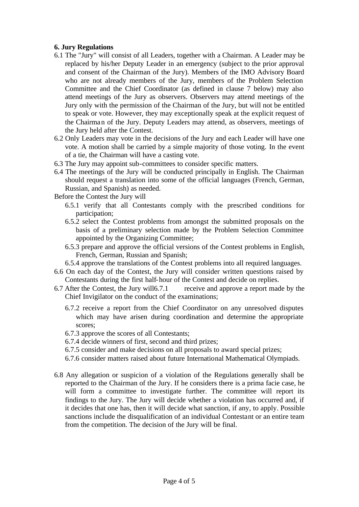#### **6. Jury Regulations**

- 6.1 The "Jury" will consist of all Leaders, together with a Chairman. A Leader may be replaced by his/her Deputy Leader in an emergency (subject to the prior approval and consent of the Chairman of the Jury). Members of the IMO Advisory Board who are not already members of the Jury, members of the Problem Selection Committee and the Chief Coordinator (as defined in clause 7 below) may also attend meetings of the Jury as observers. Observers may attend meetings of the Jury only with the permission of the Chairman of the Jury, but will not be entitled to speak or vote. However, they may exceptionally speak at the explicit request of the Chairman of the Jury. Deputy Leaders may attend, as observers, meetings of the Jury held after the Contest.
- 6.2 Only Leaders may vote in the decisions of the Jury and each Leader will have one vote. A motion shall be carried by a simple majority of those voting. In the event of a tie, the Chairman will have a casting vote.
- 6.3 The Jury may appoint sub-committees to consider specific matters.
- 6.4 The meetings of the Jury will be conducted principally in English. The Chairman should request a translation into some of the official languages (French, German, Russian, and Spanish) as needed.

Before the Contest the Jury will

- 6.5.1 verify that all Contestants comply with the prescribed conditions for participation;
- 6.5.2 select the Contest problems from amongst the submitted proposals on the basis of a preliminary selection made by the Problem Selection Committee appointed by the Organizing Committee;
- 6.5.3 prepare and approve the official versions of the Contest problems in English, French, German, Russian and Spanish;
- 6.5.4 approve the translations of the Contest problems into all required languages.
- 6.6 On each day of the Contest, the Jury will consider written questions raised by Contestants during the first half-hour of the Contest and decide on replies.
- 6.7 After the Contest, the Jury will6.7.1 receive and approve a report made by the Chief Invigilator on the conduct of the examinations;
	- 6.7.2 receive a report from the Chief Coordinator on any unresolved disputes which may have arisen during coordination and determine the appropriate scores;
	- 6.7.3 approve the scores of all Contestants;
	- 6.7.4 decide winners of first, second and third prizes;
	- 6.7.5 consider and make decisions on all proposals to award special prizes;
	- 6.7.6 consider matters raised about future International Mathematical Olympiads.
- 6.8 Any allegation or suspicion of a violation of the Regulations generally shall be reported to the Chairman of the Jury. If he considers there is a prima facie case, he will form a committee to investigate further. The committee will report its findings to the Jury. The Jury will decide whether a violation has occurred and, if it decides that one has, then it will decide what sanction, if any, to apply. Possible sanctions include the disqualification of an individual Contestant or an entire team from the competition. The decision of the Jury will be final.